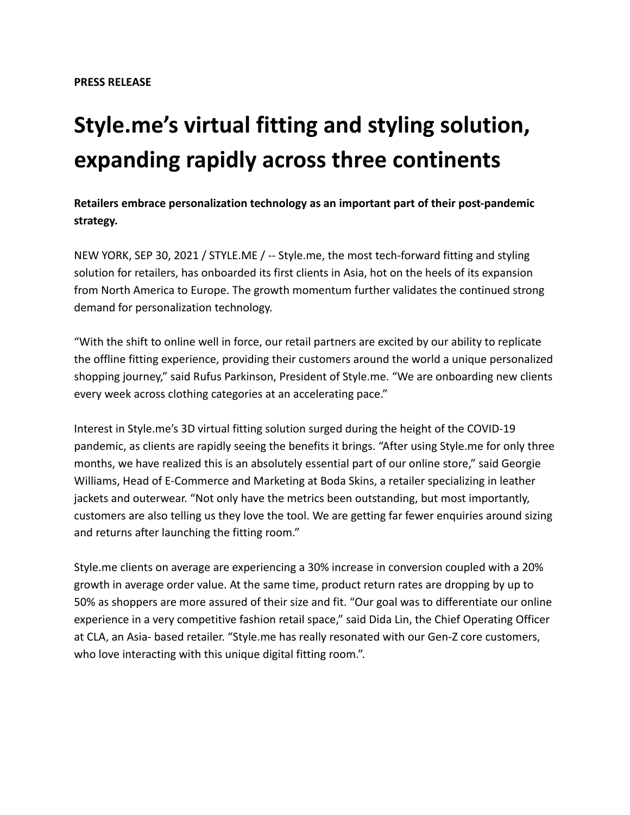## **Style.me's virtual fitting and styling solution, expanding rapidly across three continents**

**Retailers embrace personalization technology as an important part of their post-pandemic strategy.**

NEW YORK, SEP 30, 2021 / STYLE.ME / -- Style.me, the most tech-forward fitting and styling solution for retailers, has onboarded its first clients in Asia, hot on the heels of its expansion from North America to Europe. The growth momentum further validates the continued strong demand for personalization technology.

"With the shift to online well in force, our retail partners are excited by our ability to replicate the offline fitting experience, providing their customers around the world a unique personalized shopping journey," said Rufus Parkinson, President of Style.me. "We are onboarding new clients every week across clothing categories at an accelerating pace."

Interest in Style.me's 3D virtual fitting solution surged during the height of the COVID-19 pandemic, as clients are rapidly seeing the benefits it brings. "After using Style.me for only three months, we have realized this is an absolutely essential part of our online store," said Georgie Williams, Head of E-Commerce and Marketing at Boda Skins, a retailer specializing in leather jackets and outerwear. "Not only have the metrics been outstanding, but most importantly, customers are also telling us they love the tool. We are getting far fewer enquiries around sizing and returns after launching the fitting room."

Style.me clients on average are experiencing a 30% increase in conversion coupled with a 20% growth in average order value. At the same time, product return rates are dropping by up to 50% as shoppers are more assured of their size and fit. "Our goal was to differentiate our online experience in a very competitive fashion retail space," said Dida Lin, the Chief Operating Officer at CLA, an Asia- based retailer. "Style.me has really resonated with our Gen-Z core customers, who love interacting with this unique digital fitting room.".